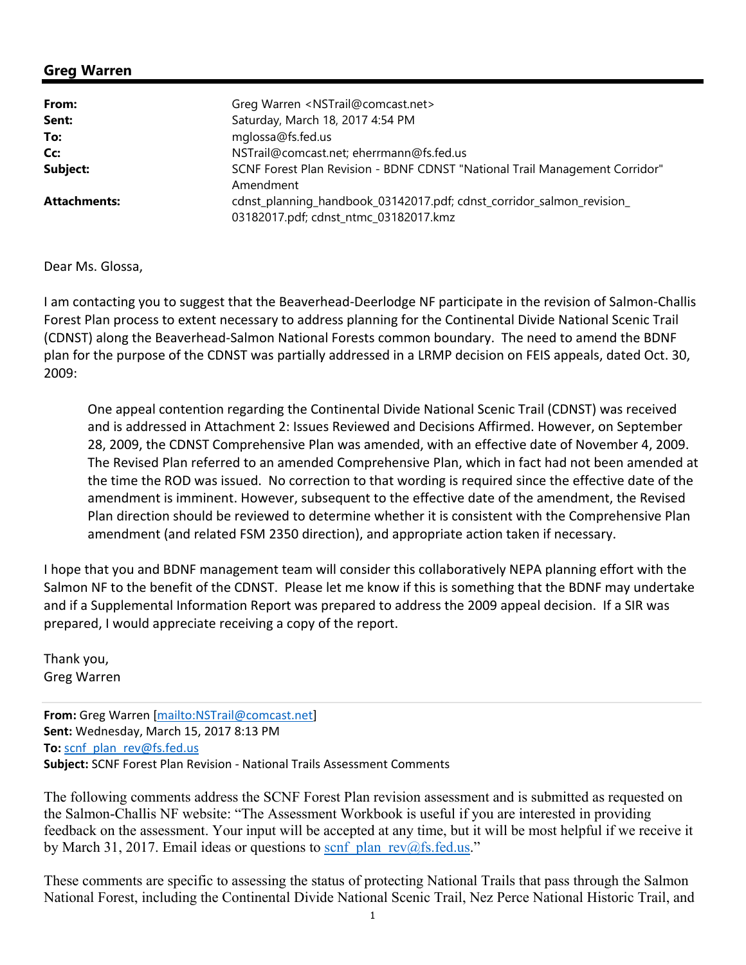## **Greg Warren**

| From:               | Greg Warren <nstrail@comcast.net></nstrail@comcast.net>                                                        |
|---------------------|----------------------------------------------------------------------------------------------------------------|
| Sent:               | Saturday, March 18, 2017 4:54 PM                                                                               |
| To:                 | mglossa@fs.fed.us                                                                                              |
| Cc:                 | NSTrail@comcast.net; eherrmann@fs.fed.us                                                                       |
| Subject:            | SCNF Forest Plan Revision - BDNF CDNST "National Trail Management Corridor"<br>Amendment                       |
| <b>Attachments:</b> | cdnst_planning_handbook_03142017.pdf; cdnst_corridor_salmon_revision_<br>03182017.pdf; cdnst_ntmc_03182017.kmz |

Dear Ms. Glossa,

I am contacting you to suggest that the Beaverhead‐Deerlodge NF participate in the revision of Salmon‐Challis Forest Plan process to extent necessary to address planning for the Continental Divide National Scenic Trail (CDNST) along the Beaverhead‐Salmon National Forests common boundary. The need to amend the BDNF plan for the purpose of the CDNST was partially addressed in a LRMP decision on FEIS appeals, dated Oct. 30, 2009:

One appeal contention regarding the Continental Divide National Scenic Trail (CDNST) was received and is addressed in Attachment 2: Issues Reviewed and Decisions Affirmed. However, on September 28, 2009, the CDNST Comprehensive Plan was amended, with an effective date of November 4, 2009. The Revised Plan referred to an amended Comprehensive Plan, which in fact had not been amended at the time the ROD was issued. No correction to that wording is required since the effective date of the amendment is imminent. However, subsequent to the effective date of the amendment, the Revised Plan direction should be reviewed to determine whether it is consistent with the Comprehensive Plan amendment (and related FSM 2350 direction), and appropriate action taken if necessary.

I hope that you and BDNF management team will consider this collaboratively NEPA planning effort with the Salmon NF to the benefit of the CDNST. Please let me know if this is something that the BDNF may undertake and if a Supplemental Information Report was prepared to address the 2009 appeal decision. If a SIR was prepared, I would appreciate receiving a copy of the report.

Thank you, Greg Warren

**From:** Greg Warren [mailto:NSTrail@comcast.net] **Sent:** Wednesday, March 15, 2017 8:13 PM **To:** scnf\_plan\_rev@fs.fed.us **Subject:** SCNF Forest Plan Revision ‐ National Trails Assessment Comments

The following comments address the SCNF Forest Plan revision assessment and is submitted as requested on the Salmon-Challis NF website: "The Assessment Workbook is useful if you are interested in providing feedback on the assessment. Your input will be accepted at any time, but it will be most helpful if we receive it by March 31, 2017. Email ideas or questions to scnf plan\_rev@fs.fed.us."

These comments are specific to assessing the status of protecting National Trails that pass through the Salmon National Forest, including the Continental Divide National Scenic Trail, Nez Perce National Historic Trail, and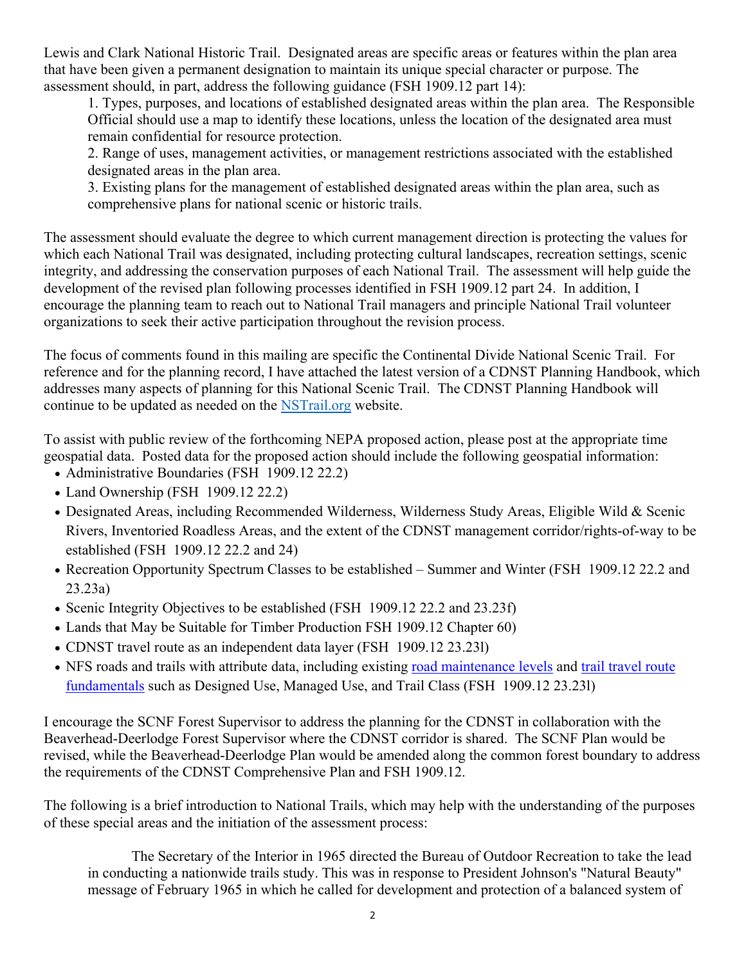Lewis and Clark National Historic Trail. Designated areas are specific areas or features within the plan area that have been given a permanent designation to maintain its unique special character or purpose. The assessment should, in part, address the following guidance (FSH 1909.12 part 14):

1. Types, purposes, and locations of established designated areas within the plan area. The Responsible Official should use a map to identify these locations, unless the location of the designated area must remain confidential for resource protection.

2. Range of uses, management activities, or management restrictions associated with the established designated areas in the plan area.

3. Existing plans for the management of established designated areas within the plan area, such as comprehensive plans for national scenic or historic trails.

The assessment should evaluate the degree to which current management direction is protecting the values for which each National Trail was designated, including protecting cultural landscapes, recreation settings, scenic integrity, and addressing the conservation purposes of each National Trail. The assessment will help guide the development of the revised plan following processes identified in FSH 1909.12 part 24. In addition, I encourage the planning team to reach out to National Trail managers and principle National Trail volunteer organizations to seek their active participation throughout the revision process.

The focus of comments found in this mailing are specific the Continental Divide National Scenic Trail. For reference and for the planning record, I have attached the latest version of a CDNST Planning Handbook, which addresses many aspects of planning for this National Scenic Trail. The CDNST Planning Handbook will continue to be updated as needed on the NSTrail.org website.

To assist with public review of the forthcoming NEPA proposed action, please post at the appropriate time geospatial data. Posted data for the proposed action should include the following geospatial information:

- Administrative Boundaries (FSH 1909.12 22.2)
- Land Ownership (FSH 1909.12 22.2)
- Designated Areas, including Recommended Wilderness, Wilderness Study Areas, Eligible Wild & Scenic Rivers, Inventoried Roadless Areas, and the extent of the CDNST management corridor/rights-of-way to be established (FSH 1909.12 22.2 and 24)
- Recreation Opportunity Spectrum Classes to be established Summer and Winter (FSH 1909.12 22.2 and 23.23a)
- Scenic Integrity Objectives to be established (FSH 1909.12 22.2 and 23.23f)
- Lands that May be Suitable for Timber Production FSH 1909.12 Chapter 60)
- CDNST travel route as an independent data layer (FSH 1909.12 23.231)
- NFS roads and trails with attribute data, including existing road maintenance levels and trail travel route fundamentals such as Designed Use, Managed Use, and Trail Class (FSH 1909.12 23.23l)

I encourage the SCNF Forest Supervisor to address the planning for the CDNST in collaboration with the Beaverhead-Deerlodge Forest Supervisor where the CDNST corridor is shared. The SCNF Plan would be revised, while the Beaverhead-Deerlodge Plan would be amended along the common forest boundary to address the requirements of the CDNST Comprehensive Plan and FSH 1909.12.

The following is a brief introduction to National Trails, which may help with the understanding of the purposes of these special areas and the initiation of the assessment process:

The Secretary of the Interior in 1965 directed the Bureau of Outdoor Recreation to take the lead in conducting a nationwide trails study. This was in response to President Johnson's "Natural Beauty" message of February 1965 in which he called for development and protection of a balanced system of